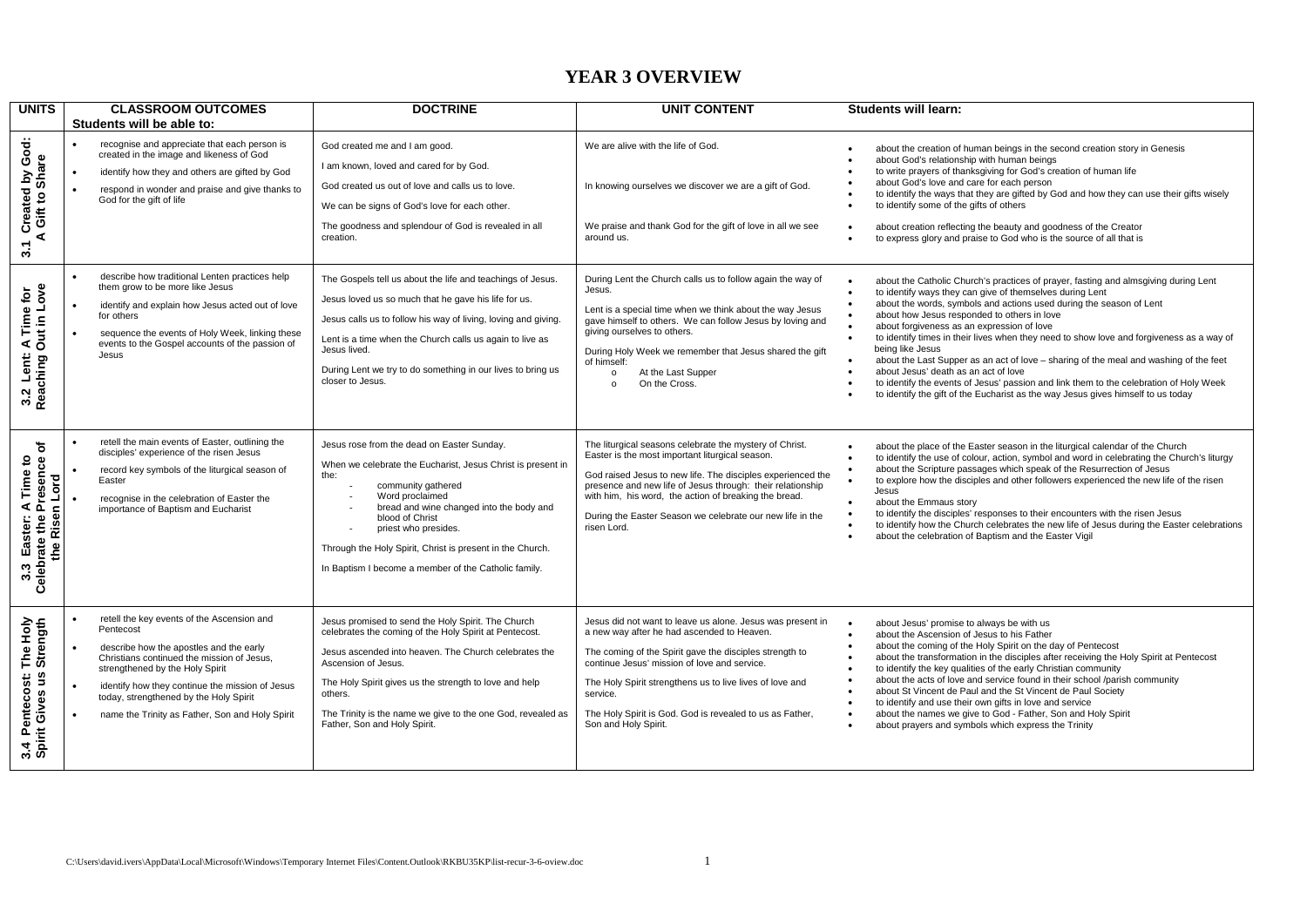## **YEAR 3 OVERVIEW**

| <b>UNITS</b>                                                              | <b>CLASSROOM OUTCOMES</b><br>Students will be able to:                                                                                                                                                                                                                                                                              | <b>DOCTRINE</b>                                                                                                                                                                                                                                                                                                                                                        | <b>UNIT CONTENT</b>                                                                                                                                                                                                                                                                                                                                                             | <b>Students will learn:</b>                                                                                                                                                                                                                                                                                                                                                                                                                                                                                                                                                                                                                                                                                                                                     |
|---------------------------------------------------------------------------|-------------------------------------------------------------------------------------------------------------------------------------------------------------------------------------------------------------------------------------------------------------------------------------------------------------------------------------|------------------------------------------------------------------------------------------------------------------------------------------------------------------------------------------------------------------------------------------------------------------------------------------------------------------------------------------------------------------------|---------------------------------------------------------------------------------------------------------------------------------------------------------------------------------------------------------------------------------------------------------------------------------------------------------------------------------------------------------------------------------|-----------------------------------------------------------------------------------------------------------------------------------------------------------------------------------------------------------------------------------------------------------------------------------------------------------------------------------------------------------------------------------------------------------------------------------------------------------------------------------------------------------------------------------------------------------------------------------------------------------------------------------------------------------------------------------------------------------------------------------------------------------------|
| Created by God:<br>\ Gift to Share<br>⋖<br>3.1                            | recognise and appreciate that each person is<br>created in the image and likeness of God<br>identify how they and others are gifted by God<br>respond in wonder and praise and give thanks to<br>God for the gift of life                                                                                                           | God created me and I am good.<br>I am known, loved and cared for by God.<br>God created us out of love and calls us to love.<br>We can be signs of God's love for each other.<br>The goodness and splendour of God is revealed in all<br>creation.                                                                                                                     | We are alive with the life of God.<br>In knowing ourselves we discover we are a gift of God.<br>We praise and thank God for the gift of love in all we see<br>around us.                                                                                                                                                                                                        | about the creation of human beings in the second creation story in Genesis<br>about God's relationship with human beings<br>to write prayers of thanksgiving for God's creation of human life<br>about God's love and care for each person<br>to identify the ways that they are gifted by God and how they can use their gifts wisely<br>to identify some of the gifts of others<br>about creation reflecting the beauty and goodness of the Creator<br>to express glory and praise to God who is the source of all that is                                                                                                                                                                                                                                    |
| A Time for<br>Out in Love<br>3.2 Lent:<br>Reaching C                      | describe how traditional Lenten practices help<br>them grow to be more like Jesus<br>identify and explain how Jesus acted out of love<br>for others<br>sequence the events of Holy Week, linking these<br>events to the Gospel accounts of the passion of<br>Jesus                                                                  | The Gospels tell us about the life and teachings of Jesus.<br>Jesus loved us so much that he gave his life for us.<br>Jesus calls us to follow his way of living, loving and giving.<br>Lent is a time when the Church calls us again to live as<br>Jesus lived.<br>During Lent we try to do something in our lives to bring us<br>closer to Jesus.                    | During Lent the Church calls us to follow again the way of<br>Jesus.<br>Lent is a special time when we think about the way Jesus<br>gave himself to others. We can follow Jesus by loving and<br>giving ourselves to others.<br>During Holy Week we remember that Jesus shared the gift<br>of himself:<br>At the Last Supper<br>$\circ$<br>On the Cross.<br>$\circ$             | about the Catholic Church's practices of prayer, fasting and almsgiving during Lent<br>to identify ways they can give of themselves during Lent<br>about the words, symbols and actions used during the season of Lent<br>about how Jesus responded to others in love<br>about forgiveness as an expression of love<br>to identify times in their lives when they need to show love and forgiveness as a way of<br>$\bullet$<br>being like Jesus<br>about the Last Supper as an act of love - sharing of the meal and washing of the feet<br>about Jesus' death as an act of love<br>to identify the events of Jesus' passion and link them to the celebration of Holy Week<br>to identify the gift of the Eucharist as the way Jesus gives himself to us today |
| đ<br>3.3 Easter: A Time to<br>Celebrate the Presence ov<br>the Risen Lord | retell the main events of Easter, outlining the<br>disciples' experience of the risen Jesus<br>record key symbols of the liturgical season of<br>Easter<br>recognise in the celebration of Easter the<br>importance of Baptism and Eucharist                                                                                        | Jesus rose from the dead on Easter Sunday.<br>When we celebrate the Eucharist, Jesus Christ is present in<br>the:<br>community gathered<br>Word proclaimed<br>bread and wine changed into the body and<br>blood of Christ<br>priest who presides.<br>Through the Holy Spirit, Christ is present in the Church.<br>In Baptism I become a member of the Catholic family. | The liturgical seasons celebrate the mystery of Christ.<br>Easter is the most important liturgical season.<br>God raised Jesus to new life. The disciples experienced the<br>presence and new life of Jesus through: their relationship<br>with him, his word, the action of breaking the bread.<br>During the Easter Season we celebrate our new life in the<br>risen Lord.    | about the place of the Easter season in the liturgical calendar of the Church<br>to identify the use of colour, action, symbol and word in celebrating the Church's liturgy<br>about the Scripture passages which speak of the Resurrection of Jesus<br>to explore how the disciples and other followers experienced the new life of the risen<br>Jesus<br>about the Emmaus story<br>to identify the disciples' responses to their encounters with the risen Jesus<br>to identify how the Church celebrates the new life of Jesus during the Easter celebrations<br>about the celebration of Baptism and the Easter Vigil                                                                                                                                       |
| The Holy<br>Strength<br>Pentecost:<br>rit Gives us :<br>3.4 Pe            | retell the key events of the Ascension and<br>Pentecost<br>describe how the apostles and the early<br>Christians continued the mission of Jesus,<br>strengthened by the Holy Spirit<br>identify how they continue the mission of Jesus<br>today, strengthened by the Holy Spirit<br>name the Trinity as Father, Son and Holy Spirit | Jesus promised to send the Holy Spirit. The Church<br>celebrates the coming of the Holy Spirit at Pentecost.<br>Jesus ascended into heaven. The Church celebrates the<br>Ascension of Jesus.<br>The Holy Spirit gives us the strength to love and help<br>others.<br>The Trinity is the name we give to the one God, revealed as<br>Father, Son and Holy Spirit.       | Jesus did not want to leave us alone. Jesus was present in<br>a new way after he had ascended to Heaven.<br>The coming of the Spirit gave the disciples strength to<br>continue Jesus' mission of love and service.<br>The Holy Spirit strengthens us to live lives of love and<br>service.<br>The Holy Spirit is God. God is revealed to us as Father,<br>Son and Holy Spirit. | about Jesus' promise to always be with us<br>about the Ascension of Jesus to his Father<br>$\bullet$<br>about the coming of the Holy Spirit on the day of Pentecost<br>about the transformation in the disciples after receiving the Holy Spirit at Pentecost<br>to identify the key qualities of the early Christian community<br>about the acts of love and service found in their school /parish community<br>$\bullet$<br>about St Vincent de Paul and the St Vincent de Paul Society<br>to identify and use their own gifts in love and service<br>about the names we give to God - Father, Son and Holy Spirit<br>about prayers and symbols which express the Trinity                                                                                     |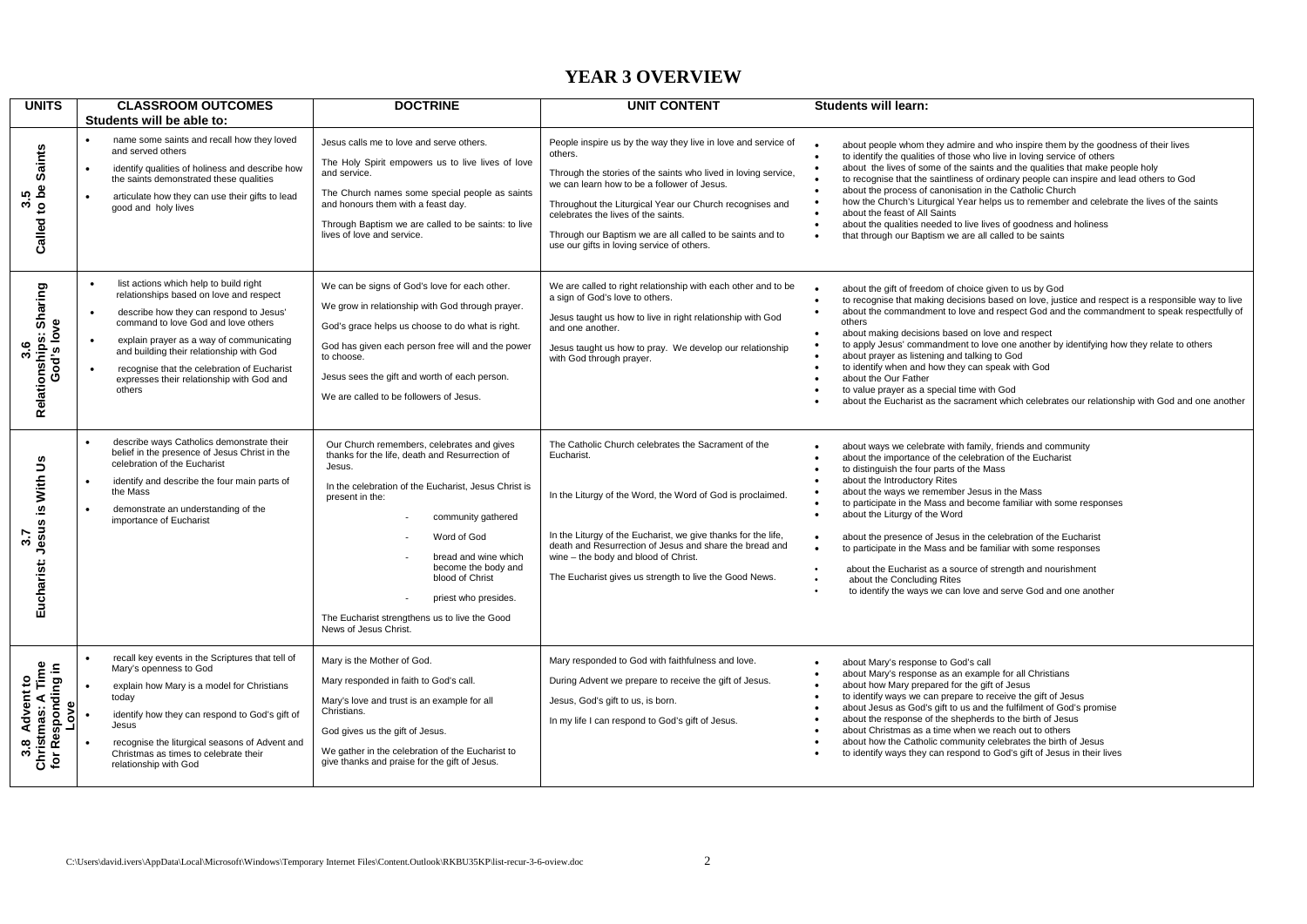### **YEAR 3 OVERVIEW**

| <b>UNITS</b>                                                    | <b>CLASSROOM OUTCOMES</b>                                                                                                                                                                                                                                                                                                                                                      | <b>DOCTRINE</b>                                                                                                                                                                                                                                                                                                                                                                            | <b>UNIT CONTENT</b>                                                                                                                                                                                                                                                                                                                                                                                     | <b>Students will learn:</b>                                                                                                                                                                                                                                                                                                                                                                                                                                                                                                                                                                                                                                                                                                              |
|-----------------------------------------------------------------|--------------------------------------------------------------------------------------------------------------------------------------------------------------------------------------------------------------------------------------------------------------------------------------------------------------------------------------------------------------------------------|--------------------------------------------------------------------------------------------------------------------------------------------------------------------------------------------------------------------------------------------------------------------------------------------------------------------------------------------------------------------------------------------|---------------------------------------------------------------------------------------------------------------------------------------------------------------------------------------------------------------------------------------------------------------------------------------------------------------------------------------------------------------------------------------------------------|------------------------------------------------------------------------------------------------------------------------------------------------------------------------------------------------------------------------------------------------------------------------------------------------------------------------------------------------------------------------------------------------------------------------------------------------------------------------------------------------------------------------------------------------------------------------------------------------------------------------------------------------------------------------------------------------------------------------------------------|
| Saints<br>Called to be<br>rÙ.<br>ώ,                             | Students will be able to:<br>name some saints and recall how they loved<br>and served others<br>identify qualities of holiness and describe how<br>$\bullet$<br>the saints demonstrated these qualities<br>articulate how they can use their gifts to lead<br>$\bullet$<br>good and holy lives                                                                                 | Jesus calls me to love and serve others.<br>The Holy Spirit empowers us to live lives of love<br>and service.<br>The Church names some special people as saints<br>and honours them with a feast day.<br>Through Baptism we are called to be saints: to live<br>lives of love and service.                                                                                                 | People inspire us by the way they live in love and service of<br>others.<br>Through the stories of the saints who lived in loving service,<br>we can learn how to be a follower of Jesus.<br>Throughout the Liturgical Year our Church recognises and<br>celebrates the lives of the saints.<br>Through our Baptism we are all called to be saints and to<br>use our gifts in loving service of others. | about people whom they admire and who inspire them by the goodness of their lives<br>to identify the qualities of those who live in loving service of others<br>about the lives of some of the saints and the qualities that make people holy<br>to recognise that the saintliness of ordinary people can inspire and lead others to God<br>about the process of canonisation in the Catholic Church<br>$\bullet$<br>how the Church's Liturgical Year helps us to remember and celebrate the lives of the saints<br>$\bullet$<br>about the feast of All Saints<br>about the qualities needed to live lives of goodness and holiness<br>$\bullet$<br>that through our Baptism we are all called to be saints                              |
| Relationships: Sharing<br>God's love<br>3.6                     | list actions which help to build right<br>relationships based on love and respect<br>describe how they can respond to Jesus'<br>$\bullet$<br>command to love God and love others<br>explain prayer as a way of communicating<br>and building their relationship with God<br>recognise that the celebration of Eucharist<br>expresses their relationship with God and<br>others | We can be signs of God's love for each other.<br>We grow in relationship with God through prayer.<br>God's grace helps us choose to do what is right.<br>God has given each person free will and the power<br>to choose.<br>Jesus sees the gift and worth of each person.<br>We are called to be followers of Jesus.                                                                       | We are called to right relationship with each other and to be<br>a sign of God's love to others.<br>Jesus taught us how to live in right relationship with God<br>and one another.<br>Jesus taught us how to pray. We develop our relationship<br>with God through prayer.                                                                                                                              | about the gift of freedom of choice given to us by God<br>to recognise that making decisions based on love, justice and respect is a responsible way to live<br>about the commandment to love and respect God and the commandment to speak respectfully of<br>others<br>about making decisions based on love and respect<br>$\bullet$<br>to apply Jesus' commandment to love one another by identifying how they relate to others<br>about prayer as listening and talking to God<br>to identify when and how they can speak with God<br>$\bullet$<br>about the Our Father<br>$\bullet$<br>to value prayer as a special time with God<br>about the Eucharist as the sacrament which celebrates our relationship with God and one another |
| Eucharist: Jesus is With Us<br>5.7                              | describe ways Catholics demonstrate their<br>belief in the presence of Jesus Christ in the<br>celebration of the Eucharist<br>identify and describe the four main parts of<br>٠<br>the Mass<br>demonstrate an understanding of the<br>importance of Eucharist                                                                                                                  | Our Church remembers, celebrates and gives<br>thanks for the life, death and Resurrection of<br>Jesus.<br>In the celebration of the Eucharist, Jesus Christ is<br>present in the:<br>community gathered<br>Word of God<br>bread and wine which<br>become the body and<br>blood of Christ<br>priest who presides.<br>The Eucharist strengthens us to live the Good<br>News of Jesus Christ. | The Catholic Church celebrates the Sacrament of the<br>Eucharist.<br>In the Liturgy of the Word, the Word of God is proclaimed.<br>In the Liturgy of the Eucharist, we give thanks for the life,<br>death and Resurrection of Jesus and share the bread and<br>wine - the body and blood of Christ.<br>The Eucharist gives us strength to live the Good News.                                           | about ways we celebrate with family, friends and community<br>about the importance of the celebration of the Eucharist<br>to distinguish the four parts of the Mass<br>$\bullet$<br>about the Introductory Rites<br>about the ways we remember Jesus in the Mass<br>to participate in the Mass and become familiar with some responses<br>about the Liturgy of the Word<br>about the presence of Jesus in the celebration of the Eucharist<br>$\bullet$<br>to participate in the Mass and be familiar with some responses<br>about the Eucharist as a source of strength and nourishment<br>$\bullet$<br>about the Concluding Rites<br>$\bullet$<br>to identify the ways we can love and serve God and one another<br>$\bullet$          |
| Christmas: A Time<br>for Responding in<br>Advent to<br>៓<br>3.8 | recall key events in the Scriptures that tell of<br>Mary's openness to God<br>explain how Mary is a model for Christians<br>today<br>identify how they can respond to God's gift of<br>Jesus<br>recognise the liturgical seasons of Advent and<br>Christmas as times to celebrate their<br>relationship with God                                                               | Mary is the Mother of God.<br>Mary responded in faith to God's call.<br>Mary's love and trust is an example for all<br>Christians.<br>God gives us the gift of Jesus.<br>We gather in the celebration of the Eucharist to<br>give thanks and praise for the gift of Jesus.                                                                                                                 | Mary responded to God with faithfulness and love.<br>During Advent we prepare to receive the gift of Jesus.<br>Jesus, God's gift to us, is born.<br>In my life I can respond to God's gift of Jesus.                                                                                                                                                                                                    | about Mary's response to God's call<br>about Mary's response as an example for all Christians<br>about how Mary prepared for the gift of Jesus<br>to identify ways we can prepare to receive the gift of Jesus<br>about Jesus as God's gift to us and the fulfilment of God's promise<br>about the response of the shepherds to the birth of Jesus<br>about Christmas as a time when we reach out to others<br>about how the Catholic community celebrates the birth of Jesus<br>to identify ways they can respond to God's gift of Jesus in their lives                                                                                                                                                                                 |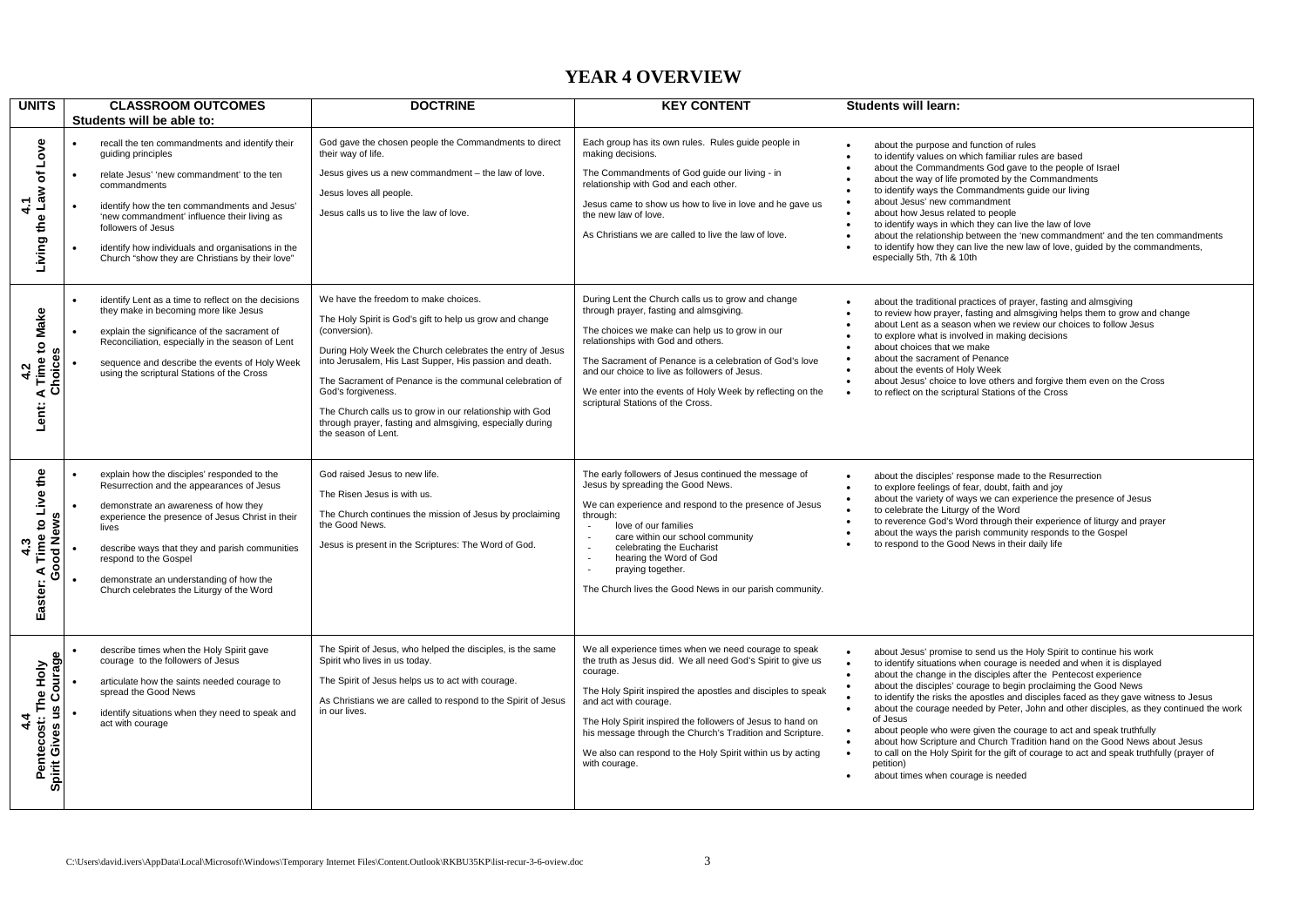### **YEAR 4 OVERVIEW**

| <b>UNITS</b>                                               | <b>CLASSROOM OUTCOMES</b><br>Students will be able to:                                                                                                                                                                                                                                                                                                           | <b>DOCTRINE</b>                                                                                                                                                                                                                                                                                                                                                                                                                                                            | <b>KEY CONTENT</b>                                                                                                                                                                                                                                                                                                                                                                                                                                 | <b>Students will learn:</b>                                                                                                                                                                                                                                                                                                                                                                                                                                                                                                                                                                                                                                                                                                                                                                                                                                             |
|------------------------------------------------------------|------------------------------------------------------------------------------------------------------------------------------------------------------------------------------------------------------------------------------------------------------------------------------------------------------------------------------------------------------------------|----------------------------------------------------------------------------------------------------------------------------------------------------------------------------------------------------------------------------------------------------------------------------------------------------------------------------------------------------------------------------------------------------------------------------------------------------------------------------|----------------------------------------------------------------------------------------------------------------------------------------------------------------------------------------------------------------------------------------------------------------------------------------------------------------------------------------------------------------------------------------------------------------------------------------------------|-------------------------------------------------------------------------------------------------------------------------------------------------------------------------------------------------------------------------------------------------------------------------------------------------------------------------------------------------------------------------------------------------------------------------------------------------------------------------------------------------------------------------------------------------------------------------------------------------------------------------------------------------------------------------------------------------------------------------------------------------------------------------------------------------------------------------------------------------------------------------|
| Love<br>৳<br>Living the Law<br>4.1                         | recall the ten commandments and identify their<br>guiding principles<br>relate Jesus' 'new commandment' to the ten<br>commandments<br>identify how the ten commandments and Jesus'<br>'new commandment' influence their living as<br>followers of Jesus<br>identify how individuals and organisations in the<br>Church "show they are Christians by their love"  | God gave the chosen people the Commandments to direct<br>their way of life.<br>Jesus gives us a new commandment - the law of love.<br>Jesus loves all people.<br>Jesus calls us to live the law of love.                                                                                                                                                                                                                                                                   | Each group has its own rules. Rules guide people in<br>making decisions.<br>The Commandments of God guide our living - in<br>relationship with God and each other.<br>Jesus came to show us how to live in love and he gave us<br>the new law of love.<br>As Christians we are called to live the law of love.                                                                                                                                     | about the purpose and function of rules<br>to identify values on which familiar rules are based<br>about the Commandments God gave to the people of Israel<br>about the way of life promoted by the Commandments<br>to identify ways the Commandments quide our living<br>about Jesus' new commandment<br>$\bullet$<br>about how Jesus related to people<br>to identify ways in which they can live the law of love<br>about the relationship between the 'new commandment' and the ten commandments<br>to identify how they can live the new law of love, guided by the commandments,<br>especially 5th, 7th & 10th                                                                                                                                                                                                                                                    |
| <b>Time to Make</b><br>A 1 Inc.<br>Choices<br>4.2<br>Lent: | identify Lent as a time to reflect on the decisions<br>they make in becoming more like Jesus<br>explain the significance of the sacrament of<br>Reconciliation, especially in the season of Lent<br>sequence and describe the events of Holy Week<br>using the scriptural Stations of the Cross                                                                  | We have the freedom to make choices.<br>The Holy Spirit is God's gift to help us grow and change<br>(conversion).<br>During Holy Week the Church celebrates the entry of Jesus<br>into Jerusalem, His Last Supper, His passion and death.<br>The Sacrament of Penance is the communal celebration of<br>God's forgiveness.<br>The Church calls us to grow in our relationship with God<br>through prayer, fasting and almsgiving, especially during<br>the season of Lent. | During Lent the Church calls us to grow and change<br>through prayer, fasting and almsgiving.<br>The choices we make can help us to grow in our<br>relationships with God and others.<br>The Sacrament of Penance is a celebration of God's love<br>and our choice to live as followers of Jesus.<br>We enter into the events of Holy Week by reflecting on the<br>scriptural Stations of the Cross.                                               | about the traditional practices of prayer, fasting and almsgiving<br>$\bullet$<br>to review how prayer, fasting and almsgiving helps them to grow and change<br>about Lent as a season when we review our choices to follow Jesus<br>to explore what is involved in making decisions<br>about choices that we make<br>about the sacrament of Penance<br>$\bullet$<br>about the events of Holy Week<br>$\bullet$<br>about Jesus' choice to love others and forgive them even on the Cross<br>$\bullet$<br>to reflect on the scriptural Stations of the Cross<br>$\bullet$                                                                                                                                                                                                                                                                                                |
| Time to Live the<br>Good News<br>4.3<br>⋖<br>Easter:       | explain how the disciples' responded to the<br>Resurrection and the appearances of Jesus<br>demonstrate an awareness of how they<br>experience the presence of Jesus Christ in their<br>lives<br>describe ways that they and parish communities<br>respond to the Gospel<br>demonstrate an understanding of how the<br>Church celebrates the Liturgy of the Word | God raised Jesus to new life.<br>The Risen Jesus is with us.<br>The Church continues the mission of Jesus by proclaiming<br>the Good News.<br>Jesus is present in the Scriptures: The Word of God.                                                                                                                                                                                                                                                                         | The early followers of Jesus continued the message of<br>Jesus by spreading the Good News.<br>We can experience and respond to the presence of Jesus<br>through:<br>love of our families<br>$\sim$<br>care within our school community<br>$\mathcal{L}_{\mathcal{A}}$<br>celebrating the Eucharist<br>$\mathcal{L}$<br>hearing the Word of God<br>$\sim$<br>praying together.<br>$\sim$<br>The Church lives the Good News in our parish community. | about the disciples' response made to the Resurrection<br>to explore feelings of fear, doubt, faith and joy<br>about the variety of ways we can experience the presence of Jesus<br>to celebrate the Liturgy of the Word<br>to reverence God's Word through their experience of liturgy and prayer<br>about the ways the parish community responds to the Gospel<br>to respond to the Good News in their daily life                                                                                                                                                                                                                                                                                                                                                                                                                                                     |
| Courage<br>Pentecost: The Holy<br>Spirit Gives us<br>4.4   | describe times when the Holy Spirit gave<br>courage to the followers of Jesus<br>articulate how the saints needed courage to<br>spread the Good News<br>identify situations when they need to speak and<br>act with courage                                                                                                                                      | The Spirit of Jesus, who helped the disciples, is the same<br>Spirit who lives in us today.<br>The Spirit of Jesus helps us to act with courage.<br>As Christians we are called to respond to the Spirit of Jesus<br>in our lives.                                                                                                                                                                                                                                         | We all experience times when we need courage to speak<br>the truth as Jesus did. We all need God's Spirit to give us<br>courage.<br>The Holy Spirit inspired the apostles and disciples to speak<br>and act with courage.<br>The Holy Spirit inspired the followers of Jesus to hand on<br>his message through the Church's Tradition and Scripture.<br>We also can respond to the Holy Spirit within us by acting<br>with courage.                | about Jesus' promise to send us the Holy Spirit to continue his work<br>$\bullet$<br>to identify situations when courage is needed and when it is displayed<br>about the change in the disciples after the Pentecost experience<br>$\bullet$<br>about the disciples' courage to begin proclaiming the Good News<br>to identify the risks the apostles and disciples faced as they gave witness to Jesus<br>about the courage needed by Peter, John and other disciples, as they continued the work<br>$\bullet$<br>of Jesus<br>about people who were given the courage to act and speak truthfully<br>$\bullet$<br>about how Scripture and Church Tradition hand on the Good News about Jesus<br>to call on the Holy Spirit for the gift of courage to act and speak truthfully (prayer of<br>$\bullet$<br>petition)<br>about times when courage is needed<br>$\bullet$ |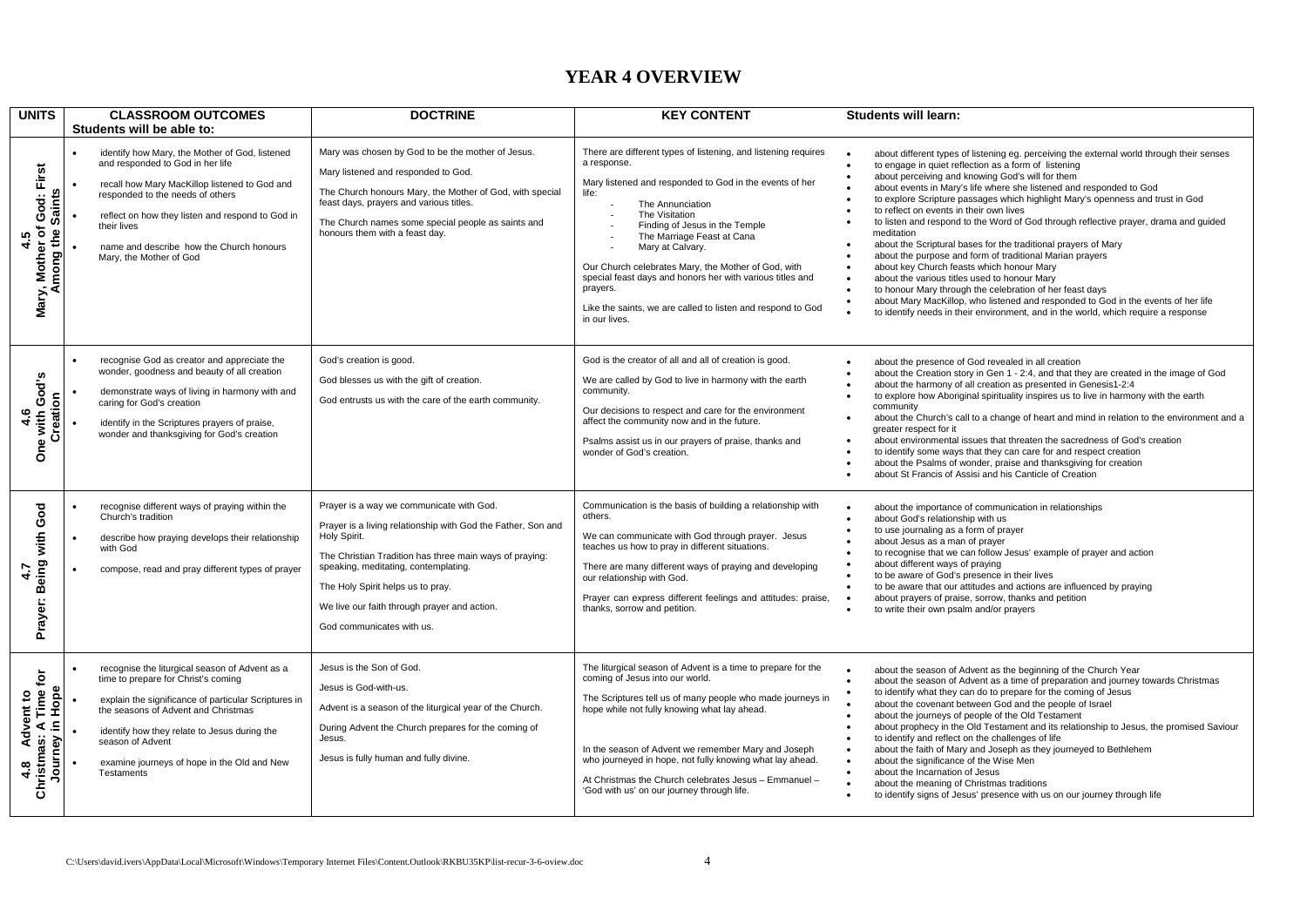### **YEAR 4 OVERVIEW**

| <b>UNITS</b>                                                              | <b>CLASSROOM OUTCOMES</b><br>Students will be able to:                                                                                                                                                                                                                                                                | <b>DOCTRINE</b>                                                                                                                                                                                                                                                                                                                               | <b>KEY CONTENT</b>                                                                                                                                                                                                                                                                                                                                                                                                                                                                          | <b>Students will learn:</b>                                                                                                                                                                                                                                                                                                                                                                                                                                                                                                                                                                                                                                                                                                                                                                                                                                                                                                                                                                                              |
|---------------------------------------------------------------------------|-----------------------------------------------------------------------------------------------------------------------------------------------------------------------------------------------------------------------------------------------------------------------------------------------------------------------|-----------------------------------------------------------------------------------------------------------------------------------------------------------------------------------------------------------------------------------------------------------------------------------------------------------------------------------------------|---------------------------------------------------------------------------------------------------------------------------------------------------------------------------------------------------------------------------------------------------------------------------------------------------------------------------------------------------------------------------------------------------------------------------------------------------------------------------------------------|--------------------------------------------------------------------------------------------------------------------------------------------------------------------------------------------------------------------------------------------------------------------------------------------------------------------------------------------------------------------------------------------------------------------------------------------------------------------------------------------------------------------------------------------------------------------------------------------------------------------------------------------------------------------------------------------------------------------------------------------------------------------------------------------------------------------------------------------------------------------------------------------------------------------------------------------------------------------------------------------------------------------------|
| God: First<br><b>Saints</b><br>ō<br>mong the<br>4.5<br>Mary, Mother       | identify how Mary, the Mother of God, listened<br>and responded to God in her life<br>recall how Mary MacKillop listened to God and<br>responded to the needs of others<br>reflect on how they listen and respond to God in<br>their lives<br>name and describe how the Church honours<br>Mary, the Mother of God     | Mary was chosen by God to be the mother of Jesus.<br>Mary listened and responded to God.<br>The Church honours Mary, the Mother of God, with special<br>feast days, prayers and various titles.<br>The Church names some special people as saints and<br>honours them with a feast day.                                                       | There are different types of listening, and listening requires<br>a response.<br>Mary listened and responded to God in the events of her<br>life:<br>The Annunciation<br>The Visitation<br>Finding of Jesus in the Temple<br>The Marriage Feast at Cana<br>Mary at Calvary.<br>Our Church celebrates Mary, the Mother of God, with<br>special feast days and honors her with various titles and<br>prayers.<br>Like the saints, we are called to listen and respond to God<br>in our lives. | about different types of listening eg. perceiving the external world through their senses<br>to engage in quiet reflection as a form of listening<br>about perceiving and knowing God's will for them<br>about events in Mary's life where she listened and responded to God<br>to explore Scripture passages which highlight Mary's openness and trust in God<br>to reflect on events in their own lives<br>to listen and respond to the Word of God through reflective prayer, drama and quided<br>meditation<br>about the Scriptural bases for the traditional prayers of Mary<br>about the purpose and form of traditional Marian prayers<br>about key Church feasts which honour Mary<br>about the various titles used to honour Mary<br>$\bullet$<br>to honour Mary through the celebration of her feast days<br>$\bullet$<br>about Mary MacKillop, who listened and responded to God in the events of her life<br>$\bullet$<br>to identify needs in their environment, and in the world, which require a response |
| God's<br>Creation<br>ە<br>4<br>vith<br>ene                                | recognise God as creator and appreciate the<br>wonder, goodness and beauty of all creation<br>demonstrate ways of living in harmony with and<br>caring for God's creation<br>identify in the Scriptures prayers of praise,<br>wonder and thanksgiving for God's creation                                              | God's creation is good.<br>God blesses us with the gift of creation.<br>God entrusts us with the care of the earth community.                                                                                                                                                                                                                 | God is the creator of all and all of creation is good.<br>We are called by God to live in harmony with the earth<br>community.<br>Our decisions to respect and care for the environment<br>affect the community now and in the future.<br>Psalms assist us in our prayers of praise, thanks and<br>wonder of God's creation.                                                                                                                                                                | about the presence of God revealed in all creation<br>about the Creation story in Gen 1 - 2:4, and that they are created in the image of God<br>$\bullet$<br>about the harmony of all creation as presented in Genesis1-2:4<br>to explore how Aboriginal spirituality inspires us to live in harmony with the earth<br>community<br>about the Church's call to a change of heart and mind in relation to the environment and a<br>greater respect for it<br>about environmental issues that threaten the sacredness of God's creation<br>to identify some ways that they can care for and respect creation<br>about the Psalms of wonder, praise and thanksgiving for creation<br>about St Francis of Assisi and his Canticle of Creation                                                                                                                                                                                                                                                                                |
| with God<br>Prayer: Being<br>4.7                                          | recognise different ways of praying within the<br>Church's tradition<br>describe how praying develops their relationship<br>with God<br>compose, read and pray different types of prayer                                                                                                                              | Prayer is a way we communicate with God.<br>Prayer is a living relationship with God the Father, Son and<br>Holy Spirit.<br>The Christian Tradition has three main ways of praying:<br>speaking, meditating, contemplating.<br>The Holy Spirit helps us to pray.<br>We live our faith through prayer and action.<br>God communicates with us. | Communication is the basis of building a relationship with<br>others.<br>We can communicate with God through prayer. Jesus<br>teaches us how to pray in different situations.<br>There are many different ways of praying and developing<br>our relationship with God.<br>Prayer can express different feelings and attitudes: praise,<br>thanks, sorrow and petition.                                                                                                                      | about the importance of communication in relationships<br>about God's relationship with us<br>to use journaling as a form of prayer<br>$\bullet$<br>about Jesus as a man of prayer<br>to recognise that we can follow Jesus' example of prayer and action<br>about different ways of praying<br>to be aware of God's presence in their lives<br>to be aware that our attitudes and actions are influenced by praying<br>$\bullet$<br>$\bullet$<br>about prayers of praise, sorrow, thanks and petition<br>to write their own psalm and/or prayers                                                                                                                                                                                                                                                                                                                                                                                                                                                                        |
| Advent to<br>as: A Time for<br>Hope<br>ءِ<br>Christmas:<br>Journey<br>4.8 | recognise the liturgical season of Advent as a<br>time to prepare for Christ's coming<br>explain the significance of particular Scriptures in<br>the seasons of Advent and Christmas<br>identify how they relate to Jesus during the<br>season of Advent<br>examine journeys of hope in the Old and New<br>Testaments | Jesus is the Son of God.<br>Jesus is God-with-us.<br>Advent is a season of the liturgical year of the Church.<br>During Advent the Church prepares for the coming of<br>Jesus.<br>Jesus is fully human and fully divine.                                                                                                                      | The liturgical season of Advent is a time to prepare for the<br>coming of Jesus into our world.<br>The Scriptures tell us of many people who made journeys in<br>hope while not fully knowing what lay ahead.<br>In the season of Advent we remember Mary and Joseph<br>who journeyed in hope, not fully knowing what lay ahead.<br>At Christmas the Church celebrates Jesus - Emmanuel -<br>'God with us' on our journey through life.                                                     | about the season of Advent as the beginning of the Church Year<br>about the season of Advent as a time of preparation and journey towards Christmas<br>$\bullet$<br>to identify what they can do to prepare for the coming of Jesus<br>about the covenant between God and the people of Israel<br>about the journeys of people of the Old Testament<br>$\bullet$<br>about prophecy in the Old Testament and its relationship to Jesus, the promised Saviour<br>to identify and reflect on the challenges of life<br>about the faith of Mary and Joseph as they journeyed to Bethlehem<br>$\bullet$<br>about the significance of the Wise Men<br>$\bullet$<br>about the Incarnation of Jesus<br>$\bullet$<br>about the meaning of Christmas traditions<br>$\bullet$<br>to identify signs of Jesus' presence with us on our journey through life                                                                                                                                                                           |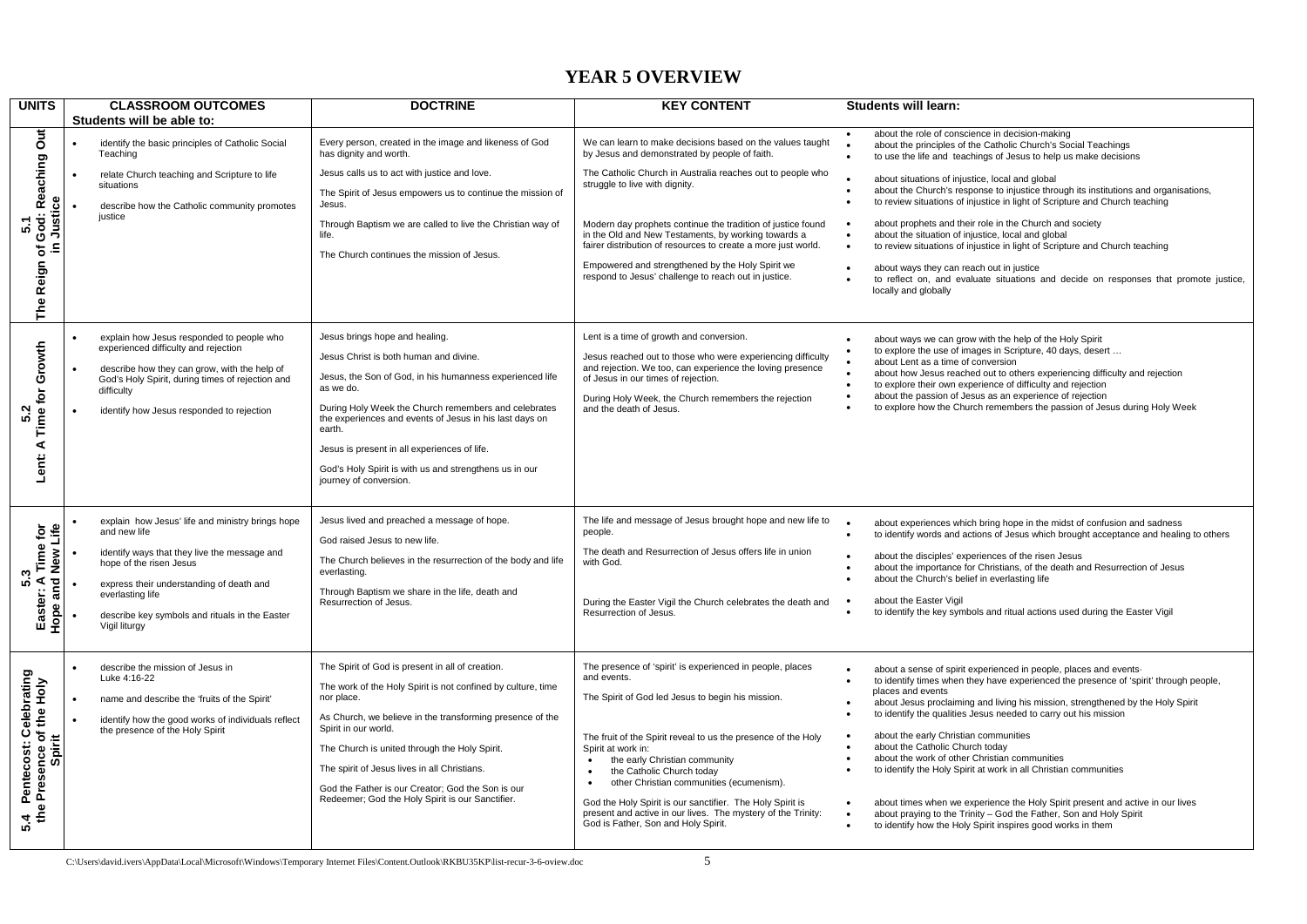### **YEAR 5 OVERVIEW**

| <b>UNITS</b>                                                           | <b>CLASSROOM OUTCOMES</b><br>Students will be able to:                                                                                                                                                                                                                         | <b>DOCTRINE</b>                                                                                                                                                                                                                                                                                                                                                                                                               | <b>KEY CONTENT</b>                                                                                                                                                                                                                                                                                                                                                                                                                                                                                                                        | <b>Students will learn:</b>                                                                                                                                                                                                                                                                                                                                                                                                                                                                                                                                                                                                                                                                                                                                                                                        |
|------------------------------------------------------------------------|--------------------------------------------------------------------------------------------------------------------------------------------------------------------------------------------------------------------------------------------------------------------------------|-------------------------------------------------------------------------------------------------------------------------------------------------------------------------------------------------------------------------------------------------------------------------------------------------------------------------------------------------------------------------------------------------------------------------------|-------------------------------------------------------------------------------------------------------------------------------------------------------------------------------------------------------------------------------------------------------------------------------------------------------------------------------------------------------------------------------------------------------------------------------------------------------------------------------------------------------------------------------------------|--------------------------------------------------------------------------------------------------------------------------------------------------------------------------------------------------------------------------------------------------------------------------------------------------------------------------------------------------------------------------------------------------------------------------------------------------------------------------------------------------------------------------------------------------------------------------------------------------------------------------------------------------------------------------------------------------------------------------------------------------------------------------------------------------------------------|
| Out<br>God: Reaching<br>Justice<br>ທ່<br>The Reign of                  | identify the basic principles of Catholic Social<br>Teaching<br>relate Church teaching and Scripture to life<br>situations<br>describe how the Catholic community promotes<br>justice                                                                                          | Every person, created in the image and likeness of God<br>has dignity and worth.<br>Jesus calls us to act with justice and love.<br>The Spirit of Jesus empowers us to continue the mission of<br>Jesus.<br>Through Baptism we are called to live the Christian way of<br>life.<br>The Church continues the mission of Jesus.                                                                                                 | We can learn to make decisions based on the values taught<br>by Jesus and demonstrated by people of faith.<br>The Catholic Church in Australia reaches out to people who<br>struggle to live with dignity.<br>Modern day prophets continue the tradition of justice found<br>in the Old and New Testaments, by working towards a<br>fairer distribution of resources to create a more just world.<br>Empowered and strengthened by the Holy Spirit we<br>respond to Jesus' challenge to reach out in justice.                             | about the role of conscience in decision-making<br>about the principles of the Catholic Church's Social Teachings<br>to use the life and teachings of Jesus to help us make decisions<br>about situations of injustice, local and global<br>about the Church's response to injustice through its institutions and organisations,<br>$\bullet$<br>to review situations of injustice in light of Scripture and Church teaching<br>about prophets and their role in the Church and society<br>$\bullet$<br>about the situation of injustice, local and global<br>to review situations of injustice in light of Scripture and Church teaching<br>$\bullet$<br>about ways they can reach out in justice<br>to reflect on, and evaluate situations and decide on responses that promote justice,<br>locally and globally |
| Lent: A Time for Growth<br>N<br>LÔ.                                    | explain how Jesus responded to people who<br>experienced difficulty and rejection<br>describe how they can grow, with the help of<br>God's Holy Spirit, during times of rejection and<br>difficulty<br>identify how Jesus responded to rejection                               | Jesus brings hope and healing.<br>Jesus Christ is both human and divine.<br>Jesus, the Son of God, in his humanness experienced life<br>as we do.<br>During Holy Week the Church remembers and celebrates<br>the experiences and events of Jesus in his last days on<br>earth.<br>Jesus is present in all experiences of life.<br>God's Holy Spirit is with us and strengthens us in our<br>journey of conversion.            | Lent is a time of growth and conversion.<br>Jesus reached out to those who were experiencing difficulty<br>and rejection. We too, can experience the loving presence<br>of Jesus in our times of rejection.<br>During Holy Week, the Church remembers the rejection<br>and the death of Jesus.                                                                                                                                                                                                                                            | about ways we can grow with the help of the Holy Spirit<br>to explore the use of images in Scripture, 40 days, desert<br>about Lent as a time of conversion<br>about how Jesus reached out to others experiencing difficulty and rejection<br>$\bullet$<br>to explore their own experience of difficulty and rejection<br>$\bullet$<br>about the passion of Jesus as an experience of rejection<br>to explore how the Church remembers the passion of Jesus during Holy Week                                                                                                                                                                                                                                                                                                                                       |
| and New Life<br>Time for<br>ω<br>ທ່<br>Easter:<br>Hope                 | explain how Jesus' life and ministry brings hope<br>and new life<br>identify ways that they live the message and<br>hope of the risen Jesus<br>express their understanding of death and<br>everlasting life<br>describe key symbols and rituals in the Easter<br>Vigil liturgy | Jesus lived and preached a message of hope.<br>God raised Jesus to new life.<br>The Church believes in the resurrection of the body and life<br>everlasting.<br>Through Baptism we share in the life, death and<br>Resurrection of Jesus.                                                                                                                                                                                     | The life and message of Jesus brought hope and new life to<br>people.<br>The death and Resurrection of Jesus offers life in union<br>with God.<br>During the Easter Vigil the Church celebrates the death and<br>Resurrection of Jesus.                                                                                                                                                                                                                                                                                                   | about experiences which bring hope in the midst of confusion and sadness<br>to identify words and actions of Jesus which brought acceptance and healing to others<br>about the disciples' experiences of the risen Jesus<br>about the importance for Christians, of the death and Resurrection of Jesus<br>about the Church's belief in everlasting life<br>about the Easter Vigil<br>$\bullet$<br>to identify the key symbols and ritual actions used during the Easter Vigil                                                                                                                                                                                                                                                                                                                                     |
| .4 Pentecost: Celebrating<br>the Presence of the Holy<br>Spirit<br>5.4 | describe the mission of Jesus in<br>Luke 4:16-22<br>name and describe the 'fruits of the Spirit'<br>identify how the good works of individuals reflect<br>the presence of the Holy Spirit                                                                                      | The Spirit of God is present in all of creation.<br>The work of the Holy Spirit is not confined by culture, time<br>nor place.<br>As Church, we believe in the transforming presence of the<br>Spirit in our world.<br>The Church is united through the Holy Spirit.<br>The spirit of Jesus lives in all Christians.<br>God the Father is our Creator; God the Son is our<br>Redeemer; God the Holy Spirit is our Sanctifier. | The presence of 'spirit' is experienced in people, places<br>and events.<br>The Spirit of God led Jesus to begin his mission.<br>The fruit of the Spirit reveal to us the presence of the Holy<br>Spirit at work in:<br>the early Christian community<br>$\bullet$<br>the Catholic Church today<br>$\bullet$<br>other Christian communities (ecumenism).<br>$\bullet$<br>God the Holy Spirit is our sanctifier. The Holy Spirit is<br>present and active in our lives. The mystery of the Trinity:<br>God is Father, Son and Holy Spirit. | about a sense of spirit experienced in people, places and events-<br>to identify times when they have experienced the presence of 'spirit' through people,<br>places and events<br>about Jesus proclaiming and living his mission, strengthened by the Holy Spirit<br>to identify the qualities Jesus needed to carry out his mission<br>about the early Christian communities<br>about the Catholic Church today<br>about the work of other Christian communities<br>to identify the Holy Spirit at work in all Christian communities<br>about times when we experience the Holy Spirit present and active in our lives<br>$\bullet$<br>about praying to the Trinity - God the Father, Son and Holy Spirit<br>to identify how the Holy Spirit inspires good works in them<br>$\bullet$                            |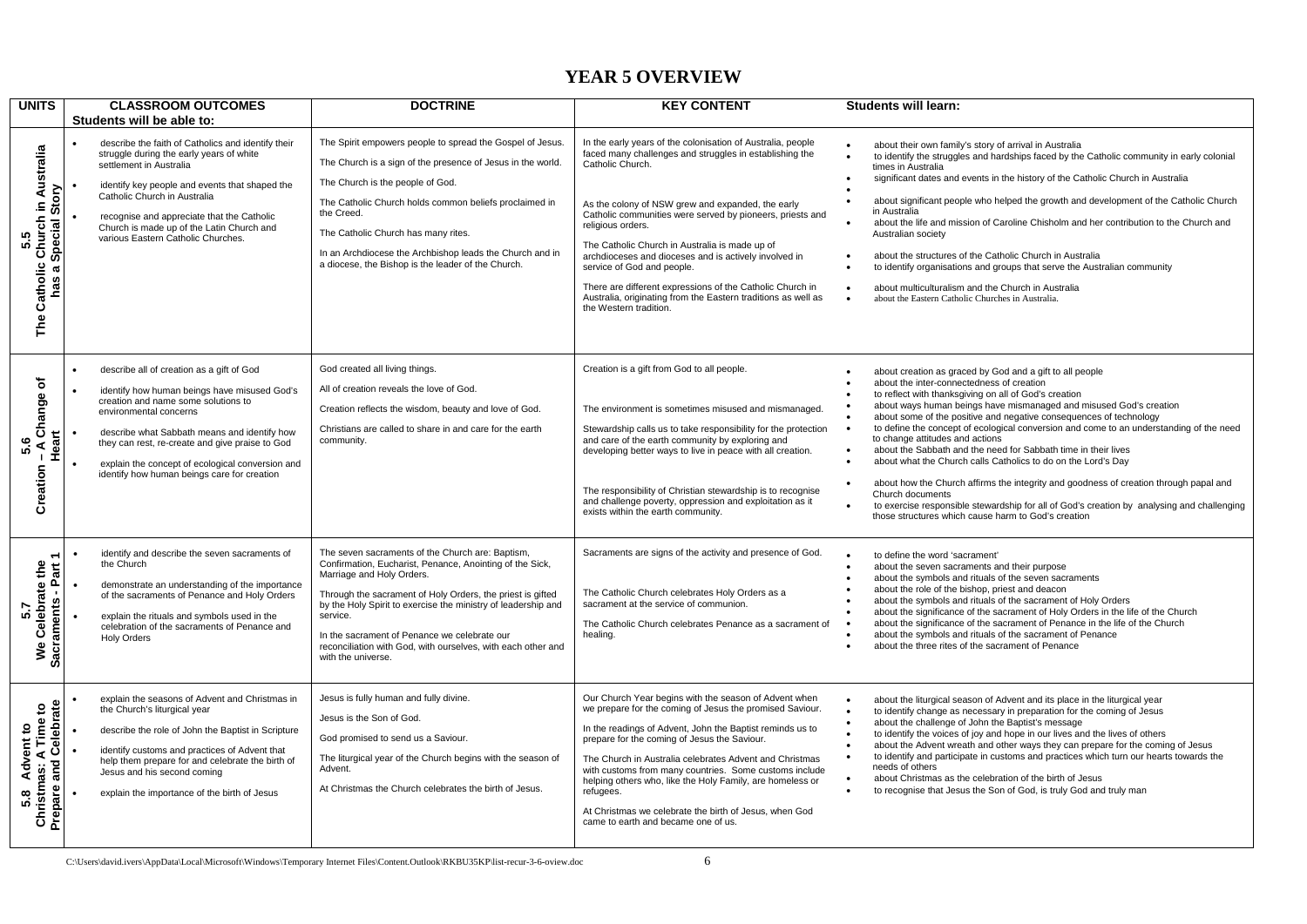## **YEAR 5 OVERVIEW**

| <b>UNITS</b>                                                                                        | <b>CLASSROOM OUTCOMES</b><br>Students will be able to:                                                                                                                                                                                                                                                                                                           | <b>DOCTRINE</b>                                                                                                                                                                                                                                                                                                                                                                                                            | <b>KEY CONTENT</b>                                                                                                                                                                                                                                                                                                                                                                                                                                                                                                                                                                 | <b>Students will learn:</b>                                                                                                                                                                                                                                                                                                                                                                                                                                                                                                                                                                                                                                                                                                                                                                                                                                                                                    |
|-----------------------------------------------------------------------------------------------------|------------------------------------------------------------------------------------------------------------------------------------------------------------------------------------------------------------------------------------------------------------------------------------------------------------------------------------------------------------------|----------------------------------------------------------------------------------------------------------------------------------------------------------------------------------------------------------------------------------------------------------------------------------------------------------------------------------------------------------------------------------------------------------------------------|------------------------------------------------------------------------------------------------------------------------------------------------------------------------------------------------------------------------------------------------------------------------------------------------------------------------------------------------------------------------------------------------------------------------------------------------------------------------------------------------------------------------------------------------------------------------------------|----------------------------------------------------------------------------------------------------------------------------------------------------------------------------------------------------------------------------------------------------------------------------------------------------------------------------------------------------------------------------------------------------------------------------------------------------------------------------------------------------------------------------------------------------------------------------------------------------------------------------------------------------------------------------------------------------------------------------------------------------------------------------------------------------------------------------------------------------------------------------------------------------------------|
| Church in Australia<br>Story<br>Special<br>5.5<br>Catholic<br>$\boldsymbol{\varpi}$<br>has i<br>The | describe the faith of Catholics and identify their<br>struggle during the early years of white<br>settlement in Australia<br>identify key people and events that shaped the<br>Catholic Church in Australia<br>recognise and appreciate that the Catholic<br>Church is made up of the Latin Church and<br>various Eastern Catholic Churches.                     | The Spirit empowers people to spread the Gospel of Jesus.<br>The Church is a sign of the presence of Jesus in the world.<br>The Church is the people of God.<br>The Catholic Church holds common beliefs proclaimed in<br>the Creed.<br>The Catholic Church has many rites.<br>In an Archdiocese the Archbishop leads the Church and in<br>a diocese, the Bishop is the leader of the Church.                              | In the early years of the colonisation of Australia, people<br>faced many challenges and struggles in establishing the<br>Catholic Church.<br>As the colony of NSW grew and expanded, the early<br>Catholic communities were served by pioneers, priests and<br>religious orders.<br>The Catholic Church in Australia is made up of<br>archdioceses and dioceses and is actively involved in<br>service of God and people.<br>There are different expressions of the Catholic Church in<br>Australia, originating from the Eastern traditions as well as<br>the Western tradition. | about their own family's story of arrival in Australia<br>to identify the struggles and hardships faced by the Catholic community in early colonial<br>times in Australia<br>significant dates and events in the history of the Catholic Church in Australia<br>about significant people who helped the growth and development of the Catholic Church<br>in Australia<br>about the life and mission of Caroline Chisholm and her contribution to the Church and<br>Australian society<br>about the structures of the Catholic Church in Australia<br>to identify organisations and groups that serve the Australian community<br>about multiculturalism and the Church in Australia<br>$\bullet$<br>about the Eastern Catholic Churches in Australia.                                                                                                                                                          |
| ৳<br>Change<br>Heart<br>5.6<br>⋖<br>Creation                                                        | describe all of creation as a gift of God<br>identify how human beings have misused God's<br>creation and name some solutions to<br>environmental concerns<br>describe what Sabbath means and identify how<br>they can rest, re-create and give praise to God<br>explain the concept of ecological conversion and<br>identify how human beings care for creation | God created all living things.<br>All of creation reveals the love of God.<br>Creation reflects the wisdom, beauty and love of God.<br>Christians are called to share in and care for the earth<br>community.                                                                                                                                                                                                              | Creation is a gift from God to all people.<br>The environment is sometimes misused and mismanaged.<br>Stewardship calls us to take responsibility for the protection<br>and care of the earth community by exploring and<br>developing better ways to live in peace with all creation.<br>The responsibility of Christian stewardship is to recognise<br>and challenge poverty, oppression and exploitation as it<br>exists within the earth community.                                                                                                                            | about creation as graced by God and a gift to all people<br>$\bullet$<br>about the inter-connectedness of creation<br>to reflect with thanksgiving on all of God's creation<br>about ways human beings have mismanaged and misused God's creation<br>$\bullet$<br>about some of the positive and negative consequences of technology<br>to define the concept of ecological conversion and come to an understanding of the need<br>$\bullet$<br>to change attitudes and actions<br>about the Sabbath and the need for Sabbath time in their lives<br>$\bullet$<br>about what the Church calls Catholics to do on the Lord's Day<br>$\bullet$<br>about how the Church affirms the integrity and goodness of creation through papal and<br>Church documents<br>to exercise responsible stewardship for all of God's creation by analysing and challenging<br>those structures which cause harm to God's creation |
| Celebrate the<br>Sacraments - Part<br>5.7<br>Å                                                      | identify and describe the seven sacraments of<br>the Church<br>demonstrate an understanding of the importance<br>of the sacraments of Penance and Holy Orders<br>explain the rituals and symbols used in the<br>celebration of the sacraments of Penance and<br><b>Holy Orders</b>                                                                               | The seven sacraments of the Church are: Baptism,<br>Confirmation, Eucharist, Penance, Anointing of the Sick,<br>Marriage and Holy Orders.<br>Through the sacrament of Holy Orders, the priest is gifted<br>by the Holy Spirit to exercise the ministry of leadership and<br>service.<br>In the sacrament of Penance we celebrate our<br>reconciliation with God, with ourselves, with each other and<br>with the universe. | Sacraments are signs of the activity and presence of God.<br>The Catholic Church celebrates Holy Orders as a<br>sacrament at the service of communion.<br>The Catholic Church celebrates Penance as a sacrament of<br>healing.                                                                                                                                                                                                                                                                                                                                                     | to define the word 'sacrament'<br>$\bullet$<br>about the seven sacraments and their purpose<br>about the symbols and rituals of the seven sacraments<br>$\bullet$<br>about the role of the bishop, priest and deacon<br>about the symbols and rituals of the sacrament of Holy Orders<br>about the significance of the sacrament of Holy Orders in the life of the Church<br>about the significance of the sacrament of Penance in the life of the Church<br>about the symbols and rituals of the sacrament of Penance<br>about the three rites of the sacrament of Penance                                                                                                                                                                                                                                                                                                                                    |
| Advent to<br>nas: A Time to<br>and Celebrate<br>Prepare and<br>Christmas:<br>5.8                    | explain the seasons of Advent and Christmas in<br>the Church's liturgical year<br>describe the role of John the Baptist in Scripture<br>identify customs and practices of Advent that<br>help them prepare for and celebrate the birth of<br>Jesus and his second coming<br>explain the importance of the birth of Jesus                                         | Jesus is fully human and fully divine.<br>Jesus is the Son of God.<br>God promised to send us a Saviour.<br>The liturgical year of the Church begins with the season of<br>Advent.<br>At Christmas the Church celebrates the birth of Jesus.                                                                                                                                                                               | Our Church Year begins with the season of Advent when<br>we prepare for the coming of Jesus the promised Saviour.<br>In the readings of Advent, John the Baptist reminds us to<br>prepare for the coming of Jesus the Saviour.<br>The Church in Australia celebrates Advent and Christmas<br>with customs from many countries. Some customs include<br>helping others who, like the Holy Family, are homeless or<br>refugees.<br>At Christmas we celebrate the birth of Jesus, when God<br>came to earth and became one of us.                                                     | about the liturgical season of Advent and its place in the liturgical year<br>$\bullet$<br>to identify change as necessary in preparation for the coming of Jesus<br>$\bullet$<br>about the challenge of John the Baptist's message<br>to identify the voices of joy and hope in our lives and the lives of others<br>$\bullet$<br>about the Advent wreath and other ways they can prepare for the coming of Jesus<br>$\bullet$<br>to identify and participate in customs and practices which turn our hearts towards the<br>$\bullet$<br>needs of others<br>about Christmas as the celebration of the birth of Jesus<br>$\bullet$<br>to recognise that Jesus the Son of God, is truly God and truly man<br>$\bullet$                                                                                                                                                                                          |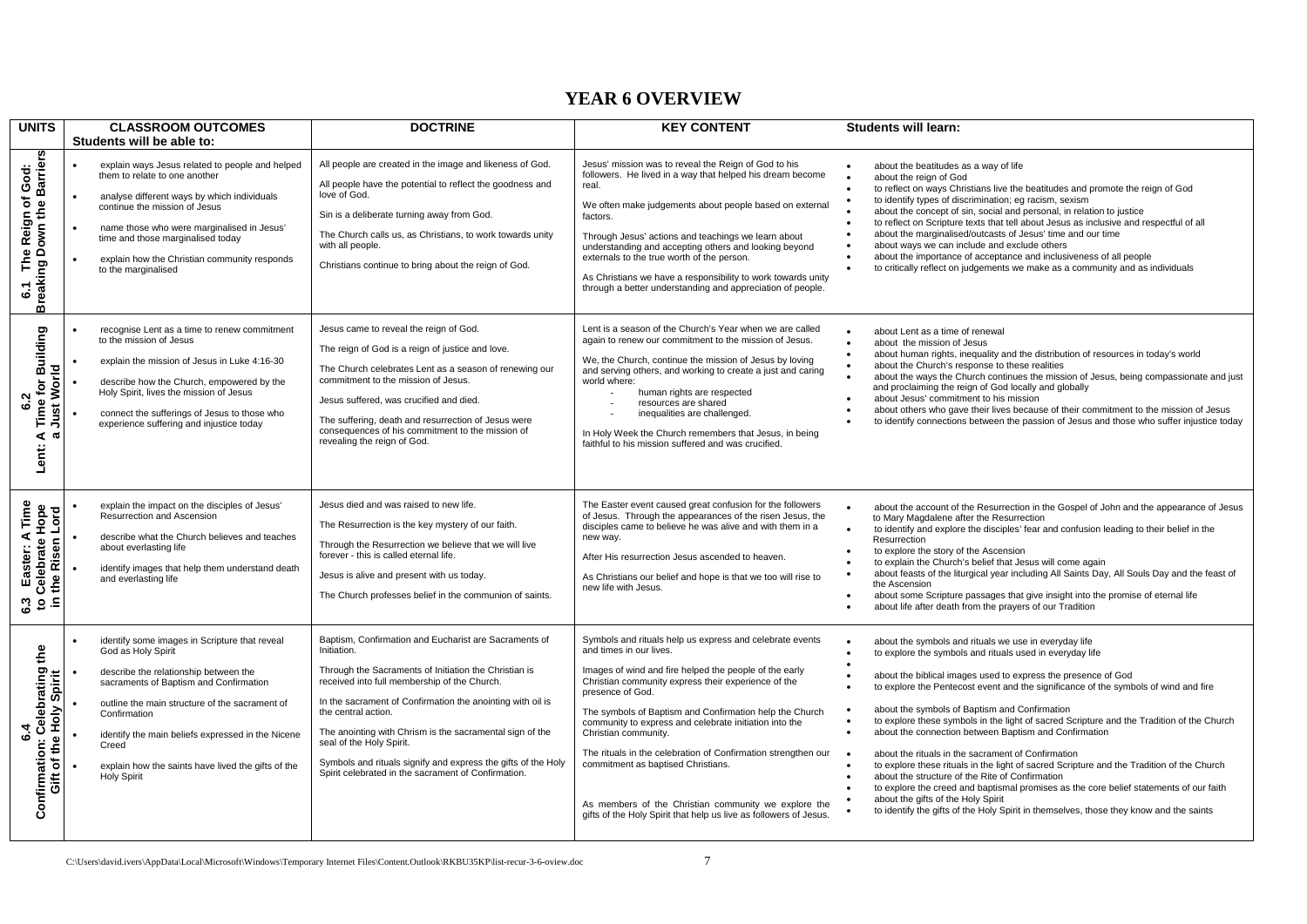#### **YEAR 6 OVERVIEW**

| <b>UNITS</b>                                                                                                 | <b>CLASSROOM OUTCOMES</b>                                                                                                                                                                                                                                                                                                                                          | <b>DOCTRINE</b>                                                                                                                                                                                                                                                                                                                                                                                                                                                                    | <b>KEY CONTENT</b>                                                                                                                                                                                                                                                                                                                                                                                                                                                                                                                                                                                        | <b>Students will learn:</b>                                                                                                                                                                                                                                                                                                                                                                                                                                                                                                                                                                                                                                                                                                                                                                                                                                                                                                                                          |
|--------------------------------------------------------------------------------------------------------------|--------------------------------------------------------------------------------------------------------------------------------------------------------------------------------------------------------------------------------------------------------------------------------------------------------------------------------------------------------------------|------------------------------------------------------------------------------------------------------------------------------------------------------------------------------------------------------------------------------------------------------------------------------------------------------------------------------------------------------------------------------------------------------------------------------------------------------------------------------------|-----------------------------------------------------------------------------------------------------------------------------------------------------------------------------------------------------------------------------------------------------------------------------------------------------------------------------------------------------------------------------------------------------------------------------------------------------------------------------------------------------------------------------------------------------------------------------------------------------------|----------------------------------------------------------------------------------------------------------------------------------------------------------------------------------------------------------------------------------------------------------------------------------------------------------------------------------------------------------------------------------------------------------------------------------------------------------------------------------------------------------------------------------------------------------------------------------------------------------------------------------------------------------------------------------------------------------------------------------------------------------------------------------------------------------------------------------------------------------------------------------------------------------------------------------------------------------------------|
|                                                                                                              | Students will be able to:                                                                                                                                                                                                                                                                                                                                          |                                                                                                                                                                                                                                                                                                                                                                                                                                                                                    |                                                                                                                                                                                                                                                                                                                                                                                                                                                                                                                                                                                                           |                                                                                                                                                                                                                                                                                                                                                                                                                                                                                                                                                                                                                                                                                                                                                                                                                                                                                                                                                                      |
| The Reign of God:<br>ng Down the Barriers<br><b>Breaking</b><br>$\overline{6}$                               | explain ways Jesus related to people and helped<br>them to relate to one another<br>analyse different ways by which individuals<br>continue the mission of Jesus<br>name those who were marginalised in Jesus'<br>time and those marginalised today<br>explain how the Christian community responds<br>to the marginalised                                         | All people are created in the image and likeness of God.<br>All people have the potential to reflect the goodness and<br>love of God.<br>Sin is a deliberate turning away from God.<br>The Church calls us, as Christians, to work towards unity<br>with all people.<br>Christians continue to bring about the reign of God.                                                                                                                                                       | Jesus' mission was to reveal the Reign of God to his<br>followers. He lived in a way that helped his dream become<br>real.<br>We often make judgements about people based on external<br>factors.<br>Through Jesus' actions and teachings we learn about<br>understanding and accepting others and looking beyond<br>externals to the true worth of the person.<br>As Christians we have a responsibility to work towards unity<br>through a better understanding and appreciation of people.                                                                                                             | about the beatitudes as a way of life<br>about the reign of God<br>to reflect on ways Christians live the beatitudes and promote the reign of God<br>$\bullet$<br>to identify types of discrimination; eg racism, sexism<br>$\bullet$<br>about the concept of sin, social and personal, in relation to justice<br>to reflect on Scripture texts that tell about Jesus as inclusive and respectful of all<br>about the marginalised/outcasts of Jesus' time and our time<br>$\bullet$<br>about ways we can include and exclude others<br>about the importance of acceptance and inclusiveness of all people<br>$\bullet$<br>to critically reflect on judgements we make as a community and as individuals<br>$\bullet$                                                                                                                                                                                                                                                |
| <b>Time for Building</b><br>Just World<br><b>S</b> .2<br>⋖<br>$\mathfrak{a}$<br>Lent:                        | recognise Lent as a time to renew commitment<br>to the mission of Jesus<br>explain the mission of Jesus in Luke 4:16-30<br>describe how the Church, empowered by the<br>Holy Spirit, lives the mission of Jesus<br>connect the sufferings of Jesus to those who<br>experience suffering and injustice today                                                        | Jesus came to reveal the reign of God.<br>The reign of God is a reign of justice and love.<br>The Church celebrates Lent as a season of renewing our<br>commitment to the mission of Jesus.<br>Jesus suffered, was crucified and died.<br>The suffering, death and resurrection of Jesus were<br>consequences of his commitment to the mission of<br>revealing the reign of God.                                                                                                   | Lent is a season of the Church's Year when we are called<br>again to renew our commitment to the mission of Jesus.<br>We, the Church, continue the mission of Jesus by loving<br>and serving others, and working to create a just and caring<br>world where:<br>human rights are respected<br>resources are shared<br>inequalities are challenged.<br>In Holy Week the Church remembers that Jesus, in being<br>faithful to his mission suffered and was crucified.                                                                                                                                       | about Lent as a time of renewal<br>about the mission of Jesus<br>about human rights, inequality and the distribution of resources in today's world<br>$\bullet$<br>about the Church's response to these realities<br>$\bullet$<br>about the ways the Church continues the mission of Jesus, being compassionate and just<br>and proclaiming the reign of God locally and globally<br>about Jesus' commitment to his mission<br>$\bullet$<br>about others who gave their lives because of their commitment to the mission of Jesus<br>to identify connections between the passion of Jesus and those who suffer injustice today                                                                                                                                                                                                                                                                                                                                       |
| Time<br>Hope<br><b>Celebrate Hope</b><br>I the Risen Lord<br>Easter: A<br>$\mathbf{c}$<br>으.<br>$\mathbf{c}$ | explain the impact on the disciples of Jesus'<br>Resurrection and Ascension<br>describe what the Church believes and teaches<br>about everlasting life<br>identify images that help them understand death<br>and everlasting life                                                                                                                                  | Jesus died and was raised to new life.<br>The Resurrection is the key mystery of our faith.<br>Through the Resurrection we believe that we will live<br>forever - this is called eternal life.<br>Jesus is alive and present with us today.<br>The Church professes belief in the communion of saints.                                                                                                                                                                             | The Easter event caused great confusion for the followers<br>of Jesus. Through the appearances of the risen Jesus, the<br>disciples came to believe he was alive and with them in a<br>new way.<br>After His resurrection Jesus ascended to heaven.<br>As Christians our belief and hope is that we too will rise to<br>new life with Jesus.                                                                                                                                                                                                                                                              | about the account of the Resurrection in the Gospel of John and the appearance of Jesus<br>$\bullet$<br>to Mary Magdalene after the Resurrection<br>$\bullet$<br>to identify and explore the disciples' fear and confusion leading to their belief in the<br>Resurrection<br>to explore the story of the Ascension<br>to explain the Church's belief that Jesus will come again<br>about feasts of the liturgical year including All Saints Day, All Souls Day and the feast of<br>the Ascension<br>about some Scripture passages that give insight into the promise of eternal life<br>about life after death from the prayers of our Tradition                                                                                                                                                                                                                                                                                                                     |
| Celebrating the<br>Spirit<br>Gift of the Holy<br>$\ddot{\bullet}$<br>Confirmation:                           | identify some images in Scripture that reveal<br>God as Holy Spirit<br>describe the relationship between the<br>sacraments of Baptism and Confirmation<br>outline the main structure of the sacrament of<br>Confirmation<br>identify the main beliefs expressed in the Nicene<br>Creed<br>explain how the saints have lived the gifts of the<br><b>Holy Spirit</b> | Baptism, Confirmation and Eucharist are Sacraments of<br>Initiation.<br>Through the Sacraments of Initiation the Christian is<br>received into full membership of the Church.<br>In the sacrament of Confirmation the anointing with oil is<br>the central action.<br>The anointing with Chrism is the sacramental sign of the<br>seal of the Holy Spirit.<br>Symbols and rituals signify and express the gifts of the Holy<br>Spirit celebrated in the sacrament of Confirmation. | Symbols and rituals help us express and celebrate events<br>and times in our lives.<br>Images of wind and fire helped the people of the early<br>Christian community express their experience of the<br>presence of God.<br>The symbols of Baptism and Confirmation help the Church<br>community to express and celebrate initiation into the<br>Christian community.<br>The rituals in the celebration of Confirmation strengthen our<br>commitment as baptised Christians.<br>As members of the Christian community we explore the<br>gifts of the Holy Spirit that help us live as followers of Jesus. | about the symbols and rituals we use in everyday life<br>to explore the symbols and rituals used in everyday life<br>$\bullet$<br>about the biblical images used to express the presence of God<br>to explore the Pentecost event and the significance of the symbols of wind and fire<br>about the symbols of Baptism and Confirmation<br>to explore these symbols in the light of sacred Scripture and the Tradition of the Church<br>about the connection between Baptism and Confirmation<br>$\bullet$<br>about the rituals in the sacrament of Confirmation<br>to explore these rituals in the light of sacred Scripture and the Tradition of the Church<br>about the structure of the Rite of Confirmation<br>$\bullet$<br>to explore the creed and baptismal promises as the core belief statements of our faith<br>$\bullet$<br>about the gifts of the Holy Spirit<br>to identify the gifts of the Holy Spirit in themselves, those they know and the saints |